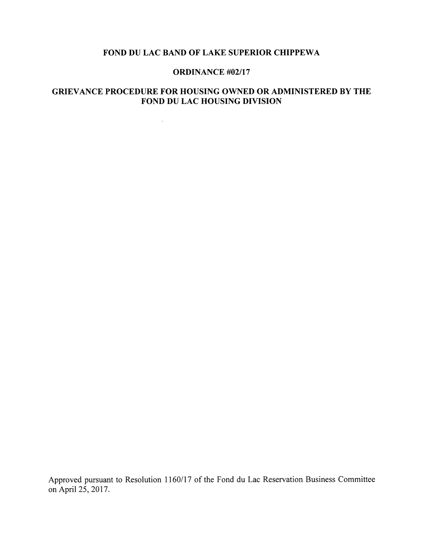#### FOND DU LAC BAND OF LAKE SUPERIOR CHIPPEWA

#### ORDINANCE #02/17

# GRIEVANCE PROCEDURE FOR HOUSING OWNED OR ADMINISTERED BY THE FOND DU LAC HOUSING DIVISION

 $\mathcal{L}^{\pm}$ 

Approved pursuant to Resolution 1160/17 of the Fond du Lae Reservation Business Committee on April 25, 2017.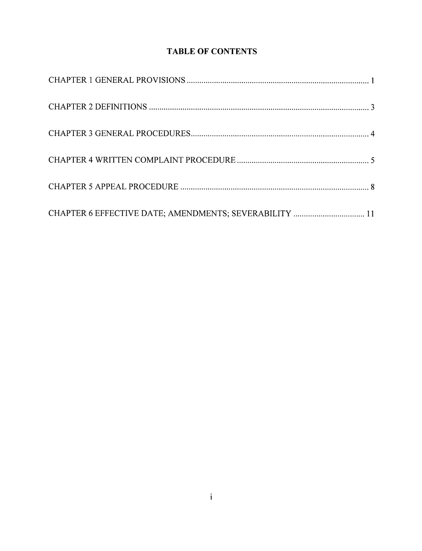# TABLE OF CONTENTS

| CHAPTER 6 EFFECTIVE DATE; AMENDMENTS; SEVERABILITY  11 |  |
|--------------------------------------------------------|--|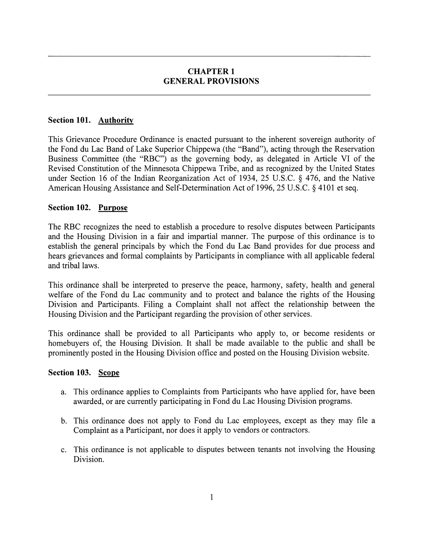### CHAPTER 1 GENERAL PROVISIONS

### Section 101. Authority

This Grievance Procedure Ordinance is enacted pursuant to the inherent sovereign authority of the Fond du Lac Band of Lake Superior Chippewa (the "Band"), acting through the Reservation Business Committee (the "RBC") as the governing body, as delegated in Article VI of the Revised Constitution of the Minnesota Chippewa Tribe, and as recognized by the United States under Section 16 of the Indian Reorganization Act of 1934, 25 U.S.C. § 476, and the Native American Housing Assistance and Self-Determination Act of 1996, 25 U.S.C. § 4101 et seq.

### Section 102. Purpose

The RBC recognizes the need to establish a procedure to resolve disputes between Participants and the Housing Division in a fair and impartial manner. The purpose of this ordinance is to establish the general principals by which the Fond du Lac Band provides for due process and hears grievances and formal complaints by Participants in compliance with all applicable federal and tribal laws.

This ordinance shall be interpreted to preserve the peace, harmony, safety, health and general welfare of the Fond du Lac community and to protect and balance the rights of the Housing Division and Participants. Filing a Complaint shall not affect the relationship between the Housing Division and the Participant regarding the provision of other services.

This ordinance shall be provided to all Participants who apply to, or become residents or homebuyers of, the Housing Division. It shall be made available to the public and shall be prominently posted in the Housing Division office and posted on the Housing Division website.

### Section 103. Scope

- a. This ordinance applies to Complaints from Participants who have applied for, have been awarded, or are currently participating in Fond du Lac Housing Division programs.
- b. This ordinance does not apply to Fond du Lac employees, except as they may file a Complaint as a Participant, nor does it apply to vendors or contractors.
- c. This ordinance is not applicable to disputes between tenants not involving the Housing Division.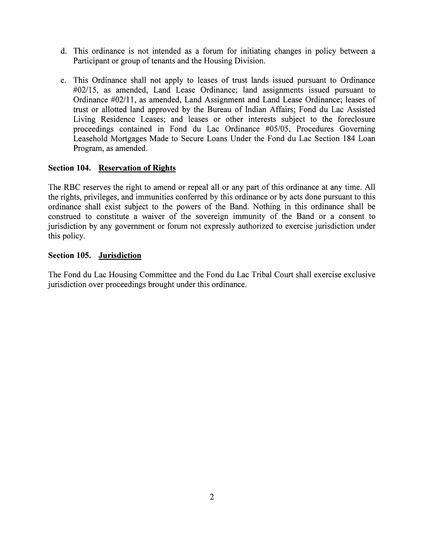- d. This ordinance is not intended as a forum for initiating changes in policy between a Participant or group of tenants and the Housing Division.
- e. This Ordinance shall not apply to leases of trust lands issued pursuant to Ordinance #02/15, as amended, Land Lease Ordinance; land assignments issued pursuant to Ordinance #02/11, as amended. Land Assignment and Land Lease Ordinance; leases of trust or allotted land approved by the Bureau of Indian Affairs; Fond du Lac Assisted Living Residence Leases; and leases or other interests subject to the foreclosure proceedings contained in Fond du Lac Ordinance #05/05, Procedures Governing Leasehold Mortgages Made to Secure Loans Under the Fond du Lac Section 184 Loan Program, as amended.

# Section 104. Reservation of Rights

The RBC reserves the right to amend or repeal all or any part of this ordinance at any time. All the rights, privileges, and immunities conferred by this ordinance or by acts done pursuant to this ordinance shall exist subject to the powers of the Band. Nothing in this ordinance shall be construed to constitute a waiver of the sovereign immunity of the Band or a consent to jurisdiction by any government or forum not expressly authorized to exercise jurisdiction under this policy.

### Section 105. Jurisdiction

The Fond du Lac Housing Committee and the Fond du Lac Tribal Court shall exercise exclusive jurisdiction over proceedings brought under this ordinance.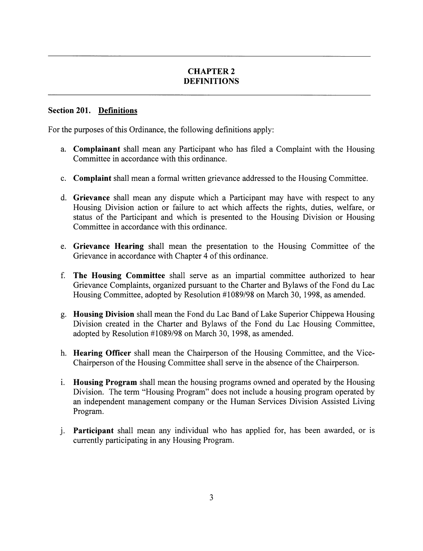# CHAPTER 2 DEFINITIONS

#### Section 201. Definitions

For the purposes of this Ordinance, the following definitions apply:

- a. Complainant shall mean any Participant who has filed a Complaint with the Housing Committee in accordance with this ordinance.
- c. Complaint shall mean a formal written grievance addressed to the Housing Committee.
- d. Grievance shall mean any dispute which a Participant may have with respect to any Housing Division action or failure to act which affects the rights, duties, welfare, or status of the Participant and which is presented to the Housing Division or Housing Committee in accordance with this ordinance.
- e. Grievance Hearing shall mean the presentation to the Housing Committee of the Grievance in accordance with Chapter 4 of this ordinance.
- f. The Housing Committee shall serve as an impartial committee authorized to hear Grievance Complaints, organized pursuant to the Charter and Bylaws of the Fond du Lac Housing Committee, adopted by Resolution #1089/98 on March 30, 1998, as amended.
- g. Housing Division shall mean the Fond du Lae Band of Lake Superior Chippewa Housing Division created in the Charter and Bylaws of the Fond du Lae Housing Committee, adopted by Resolution #1089/98 on March 30, 1998, as amended.
- h. Hearing Officer shall mean the Chairperson of the Housing Committee, and the Vice-Chairperson of the Housing Committee shall serve in the absence of the Chairperson.
- i. Housing Program shall mean the housing programs owned and operated by the Housing Division. The term "Housing Program" does not include a housing program operated by an independent management company or the Human Services Division Assisted Living Program.
- j. Participant shall mean any individual who has applied for, has been awarded, or is currently participating in any Housing Program.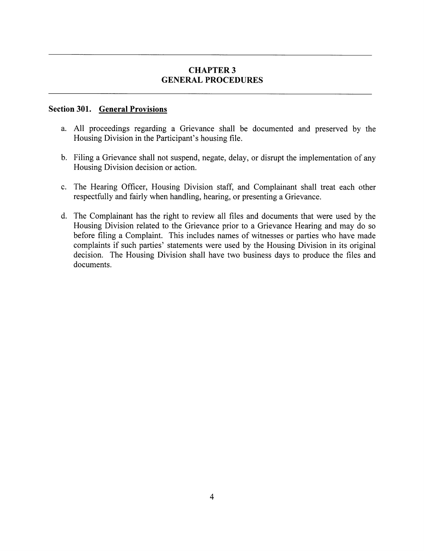### **CHAPTER 3** GENERAL PROCEDURES

### Section 301. General Provisions

- a. All proceedings regarding a Grievance shall be documented and preserved by the Housing Division in the Participant's housing file.
- b. Filing a Grievance shall not suspend, negate, delay, or disrupt the implementation of any Housing Division decision or action.
- c. The Hearing Officer, Housing Division staff, and Complainant shall treat each other respectfully and fairly when handling, hearing, or presenting a Grievance.
- d. The Complainant has the right to review all files and documents that were used by the Housing Division related to the Grievance prior to a Grievance Hearing and may do so before filing a Complaint. This includes names of witnesses or parties who have made complaints if such parties' statements were used by the Housing Division in its original decision. The Housing Division shall have two business days to produce the files and documents.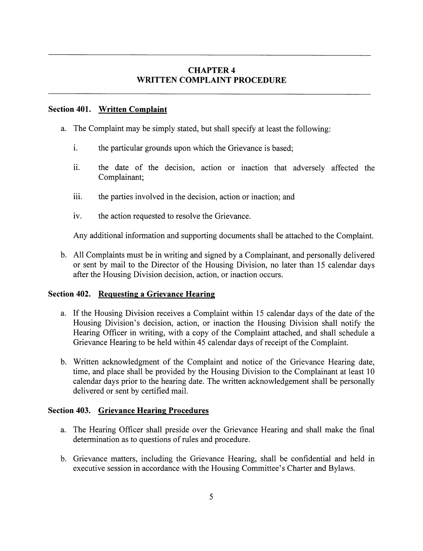# CHAPTER 4 WRITTEN COMPLAINT PROCEDURE

#### Section 401. Written Complaint

- a. The Complaint may be simply stated, but shall specify at least the following:
	- i. the particular grounds upon which the Grievance is based;
	- ii. the date of the decision, action or inaction that adversely affected the Complainant;
	- iii. the parties involved in the decision, action or inaction; and
	- iv. the action requested to resolve the Grievance.

Any additional information and supporting documents shall be attached to the Complaint.

b. All Complaints must be in writing and signed by a Complainant, and personally delivered or sent by mail to the Director of the Housing Division, no later than 15 calendar days after the Housing Division decision, action, or inaction occurs.

### Section 402. Requesting a Grievance Hearing

- a. If the Housing Division receives a Complaint within 15 calendar days of the date of the Housing Division's decision, action, or inaction the Housing Division shall notify the Hearing Officer in writing, with a copy of the Complaint attached, and shall schedule a Grievance Hearing to be held within 45 calendar days of receipt of the Complaint.
- b. Written acknowledgment of the Complaint and notice of the Grievance Hearing date, time, and place shall be provided by the Housing Division to the Complainant at least 10 calendar days prior to the hearing date. The written acknowledgement shall be personally delivered or sent by certified mail.

### Section 403. Grievance Hearing Procedures

- a. The Hearing Officer shall preside over the Grievance Hearing and shall make the final determination as to questions of rules and procedure.
- b. Grievance matters, including the Grievance Hearing, shall be confidential and held in executive session in accordance with the Housing Committee's Charter and Bylaws.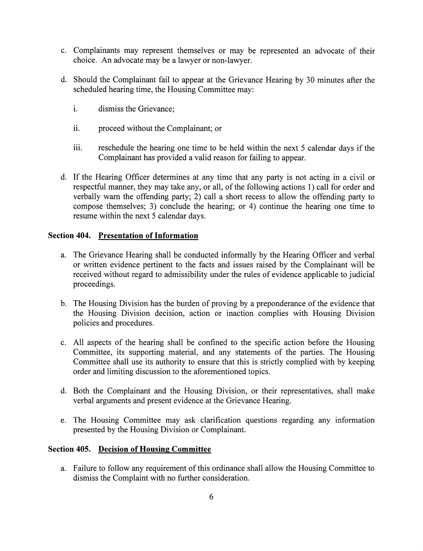- c. Complainants may represent themselves or may be represented an advoeate of their choice. An advoeate may be a lawyer or non-lawyer.
- d. Should the Complainant fail to appear at the Grievance Hearing by 30 minutes after the scheduled hearing time, the Housing Committee may:
	- i. dismiss the Grievance;
	- ii. proceed without the Complainant; or
	- iii. reschedule the hearing one time to be held within the next 5 calendar days if the Complainant has provided a valid reason for failing to appear.
- d. If the Hearing Officer determines at any time that any party is not acting in a civil or respectful manner, they may take any, or all, of the following actions 1) call for order and verbally warn the offending party; 2) call a short recess to allow the offending party to compose themselves; 3) conclude the hearing; or 4) continue the hearing one time to resume within the next 5 calendar days.

### Section 404. Presentation of Information

- a. The Grievance Hearing shall be conducted informally by the Hearing Officer and verbal or written evidence pertinent to the facts and issues raised by the Complainant will be received without regard to admissibility under the rules of evidence applicable to judicial proceedings.
- b. The Housing Division has the burden of proving by a preponderance of the evidence that the Housing Division decision, action or inaction complies with Housing Division policies and procedures.
- e. All aspects of the hearing shall be confined to the specific action before the Housing Committee, its supporting material, and any statements of the parties. The Housing Committee shall use its authority to ensure that this is strictly complied with by keeping order and limiting discussion to the aforementioned topics.
- d. Both the Complainant and the Housing Division, or their representatives, shall make verbal arguments and present evidence at the Grievance Hearing.
- e. The Housing Committee may ask clarification questions regarding any information presented by the Housing Division or Complainant.

### Section 405. Decision of Housing Committee

a. Failure to follow any requirement of this ordinance shall allow the Housing Committee to dismiss the Complaint with no further consideration.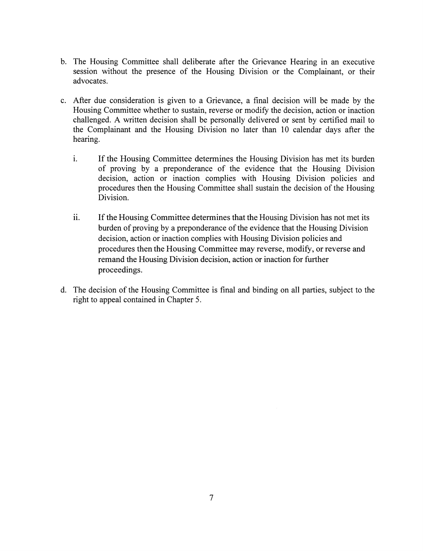- b. The Housing Committee shall deliberate after the Grievance Hearing in an executive session without the presence of the Housing Division or the Complainant, or their advocates.
- c. After due consideration is given to a Grievance, a final decision will be made by the Housing Committee whether to sustain, reverse or modify the decision, action or inaction challenged. A written decision shall be personally delivered or sent by certified mail to the Complainant and the Housing Division no later than 10 calendar days after the hearing.
	- i. If the Housing Committee determines the Housing Division has met its burden of proving by a preponderance of the evidence that the Housing Division decision, action or inaction complies with Housing Division policies and procedures then the Housing Committee shall sustain the decision of the Housing Division.
	- ii. If the Housing Committee determines that the Housing Division has not met its burden of proving by a preponderance of the evidence that the Housing Division decision, action or inaction complies with Housing Division policies and procedures then the Housing Committee may reverse, modify, or reverse and remand the Housing Division decision, action or inaction for further proceedings.
- d. The decision of the Housing Committee is final and binding on all parties, subject to the right to appeal contained in Chapter 5.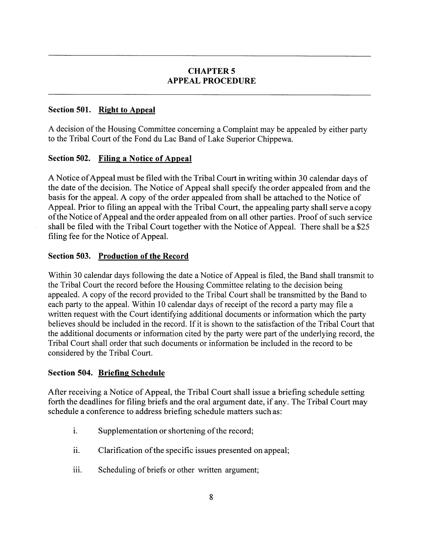# CHAPTER 5 APPEAL PROCEDURE

# Section 501. Right to Appeal

A decision of the Housing Committee concerning a Complaint may be appealed by either party to the Tribal Court of the Fond du Lac Band of Lake Superior Chippewa.

# Section 502. Filing a Notice of Appeal

A Notice of Appeal must be filed with the Tribal Court in writing within 30 calendar days of the date of the decision. The Notice of Appeal shall specify the order appealed from and the basis for the appeal. A copy of the order appealed from shall be attached to the Notice of Appeal. Prior to filing an appeal with the Tribal Court, the appealing party shall serve a copy of the Notice of Appeal and the order appealed from on all other parties. Proof of such service shall be filed with the Tribal Court together with the Notice of Appeal. There shall be a \$25 filing fee for the Notice of Appeal.

# Section 503. Production of the Record

Within 30 calendar days following the date a Notice of Appeal is filed, the Band shall transmit to the Tribal Court the record before the Housing Committee relating to the decision being appealed. A copy of the record provided to the Tribal Court shall be transmitted by the Band to each party to the appeal. Within 10 calendar days of receipt of the record a party may file a written request with the Court identifying additional documents or information which the party believes should be included in the record. If it is shown to the satisfaction of the Tribal Court that the additional documents or information cited by the party were part of the underlying record, the Tribal Court shall order that such documents or information be included in the record to be considered by the Tribal Court.

# Section 504. Briefing Schedule

After receiving a Notice of Appeal, the Tribal Court shall issue a briefing schedule setting forth the deadlines for filing briefs and the oral argument date, if any. The Tribal Court may schedule a conference to address briefing schedule matters such as:

- i. Supplementation or shortening of the record;
- ii. Clarification of the specific issues presented on appeal;
- iii. Scheduling of briefs or other written argument;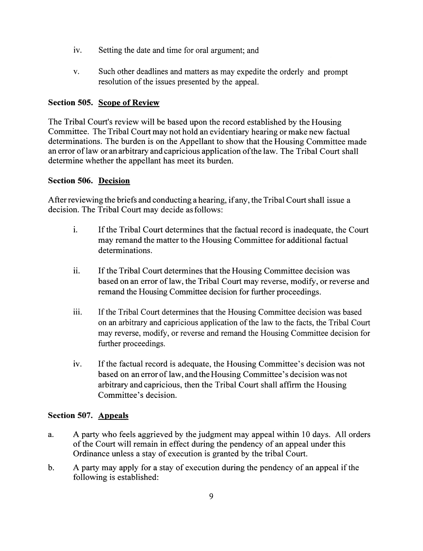- iv. Setting the date and time for oral argument; and
- V. Such other deadlines and matters as may expedite the orderly and prompt resolution of the issues presented by the appeal.

### Section 505. Scope of Review

The Tribal Court's review will be based upon the record established by the Housing Committee. The Tribal Court may not hold an evidentiary hearing or make new factual determinations. The burden is on the Appellant to show that the Housing Committee made an error oflaw oran arbitrary and capricious application ofthe law. The Tribal Court shall determine whether the appellant has meet its burden.

### Section 506. Decision

After reviewing the briefs and conducting a hearing, ifany, the Tribal Court shall issue a decision. The Tribal Court may decide as follows:

- i. If the Tribal Court determines that the factual record is inadequate, the Court may remand the matter to the Housing Committee for additional factual determinations.
- ii. If the Tribal Court determines that the Housing Committee decision was based on an error of law, the Tribal Court may reverse, modify, or reverse and remand the Housing Committee decision for further proceedings.
- iii. If the Tribal Court determines that the Housing Committee decision was based on an arbitrary and capricious application of the law to the facts, the Tribal Court may reverse, modify, or reverse and remand the Housing Committee decision for further proceedings.
- iv. If the factual record is adequate, the Housing Committee's decision was not based on an error of law, and the Housing Committee's decision was not arbitrary and capricious, then the Tribal Court shall affirm the Housing Committee's decision.

### Section 507. Appeals

- a. A party who feels aggrieved by the judgment may appeal within 10 days. All orders of the Court will remain in effect during the pendency of an appeal under this Ordinance unless a stay of execution is granted by the tribal Court.
- b. A party may apply for a stay of execution during the pendency of an appeal if the following is established: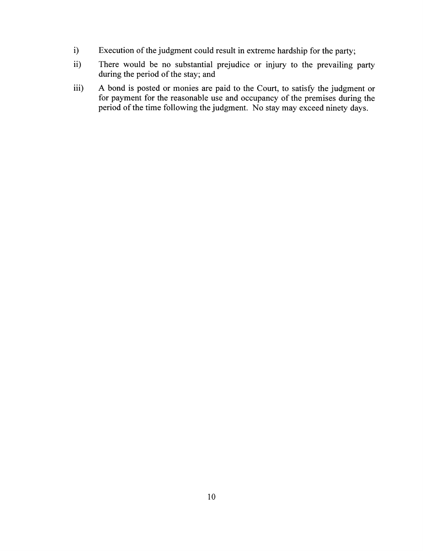- i) Execution of the judgment could result in extreme hardship for the party;
- ii) There would be no substantial prejudice or injury to the prevailing party during the period of the stay; and
- iii) A bond is posted or monies are paid to the Court, to satisfy the judgment or for payment for the reasonable use and occupancy of the premises during the period of the time following the judgment. No stay may exceed ninety days.